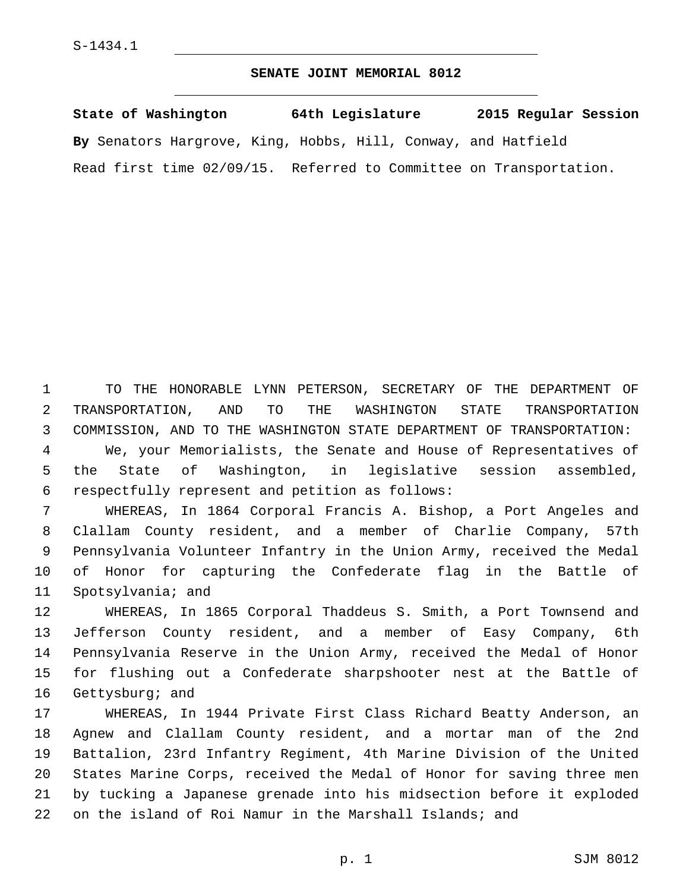## **SENATE JOINT MEMORIAL 8012**

| State of Washington       | 64th Legislature                                              | 2015 Regular Session |
|---------------------------|---------------------------------------------------------------|----------------------|
|                           | By Senators Hargrove, King, Hobbs, Hill, Conway, and Hatfield |                      |
| Read first time 02/09/15. | Referred to Committee on Transportation.                      |                      |

 TO THE HONORABLE LYNN PETERSON, SECRETARY OF THE DEPARTMENT OF TRANSPORTATION, AND TO THE WASHINGTON STATE TRANSPORTATION COMMISSION, AND TO THE WASHINGTON STATE DEPARTMENT OF TRANSPORTATION:

 We, your Memorialists, the Senate and House of Representatives of the State of Washington, in legislative session assembled, respectfully represent and petition as follows:6

 WHEREAS, In 1864 Corporal Francis A. Bishop, a Port Angeles and Clallam County resident, and a member of Charlie Company, 57th Pennsylvania Volunteer Infantry in the Union Army, received the Medal of Honor for capturing the Confederate flag in the Battle of 11 Spotsylvania; and

 WHEREAS, In 1865 Corporal Thaddeus S. Smith, a Port Townsend and Jefferson County resident, and a member of Easy Company, 6th Pennsylvania Reserve in the Union Army, received the Medal of Honor for flushing out a Confederate sharpshooter nest at the Battle of 16 Gettysburg; and

 WHEREAS, In 1944 Private First Class Richard Beatty Anderson, an Agnew and Clallam County resident, and a mortar man of the 2nd Battalion, 23rd Infantry Regiment, 4th Marine Division of the United States Marine Corps, received the Medal of Honor for saving three men by tucking a Japanese grenade into his midsection before it exploded on the island of Roi Namur in the Marshall Islands; and